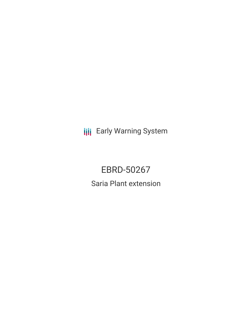**III** Early Warning System

# EBRD-50267 Saria Plant extension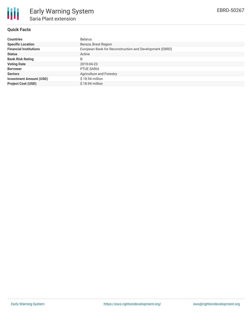

## **Quick Facts**

| <b>Countries</b>               | <b>Belarus</b>                                          |
|--------------------------------|---------------------------------------------------------|
| <b>Specific Location</b>       | Bereza, Brest Region                                    |
| <b>Financial Institutions</b>  | European Bank for Reconstruction and Development (EBRD) |
| <b>Status</b>                  | Active                                                  |
| <b>Bank Risk Rating</b>        | B                                                       |
| <b>Voting Date</b>             | 2019-04-23                                              |
| <b>Borrower</b>                | PTUE SARIA                                              |
| <b>Sectors</b>                 | Agriculture and Forestry                                |
| <b>Investment Amount (USD)</b> | $$18.94$ million                                        |
| <b>Project Cost (USD)</b>      | $$18.94$ million                                        |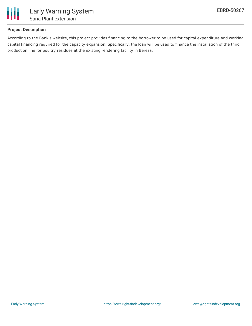

### **Project Description**

According to the Bank's website, this project provides financing to the borrower to be used for capital expenditure and working capital financing required for the capacity expansion. Specifically, the loan will be used to finance the installation of the third production line for poultry residues at the existing rendering facility in Bereza.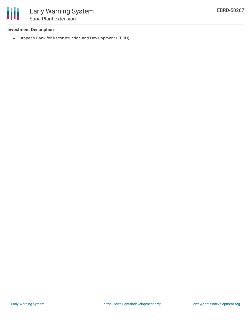

## **Investment Description**

European Bank for Reconstruction and Development (EBRD)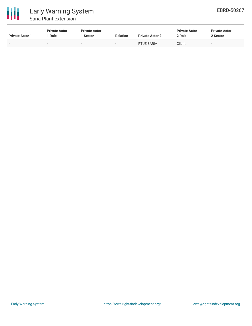

# Early Warning System Saria Plant extension

| <b>Private Actor 1</b>   | <b>Private Actor</b><br>Role | <b>Private Actor</b><br>Sector | <b>Relation</b>          | <b>Private Actor 2</b> | <b>Private Actor</b><br>2 Role | <b>Private Actor</b><br>2 Sector |
|--------------------------|------------------------------|--------------------------------|--------------------------|------------------------|--------------------------------|----------------------------------|
| $\overline{\phantom{0}}$ | $\overline{\phantom{a}}$     | $\overline{\phantom{a}}$       | $\overline{\phantom{0}}$ | <b>PTUE SARIA</b>      | Client                         | $\overline{\phantom{0}}$         |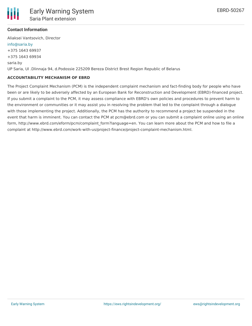

### **Contact Information**

Aliaksei Vantsovich, Director [info@saria.by](mailto:info@saria.by) +375 1643 69937 +375 1643 69934 saria.by UP Saria, Ul .Dlinnaja 94, d.Podossie 225209 Bereza District Brest Region Republic of Belarus

### **ACCOUNTABILITY MECHANISM OF EBRD**

The Project Complaint Mechanism (PCM) is the independent complaint mechanism and fact-finding body for people who have been or are likely to be adversely affected by an European Bank for Reconstruction and Development (EBRD)-financed project. If you submit a complaint to the PCM, it may assess compliance with EBRD's own policies and procedures to prevent harm to the environment or communities or it may assist you in resolving the problem that led to the complaint through a dialogue with those implementing the project. Additionally, the PCM has the authority to recommend a project be suspended in the event that harm is imminent. You can contact the PCM at pcm@ebrd.com or you can submit a complaint online using an online form, http://www.ebrd.com/eform/pcm/complaint\_form?language=en. You can learn more about the PCM and how to file a complaint at http://www.ebrd.com/work-with-us/project-finance/project-complaint-mechanism.html.